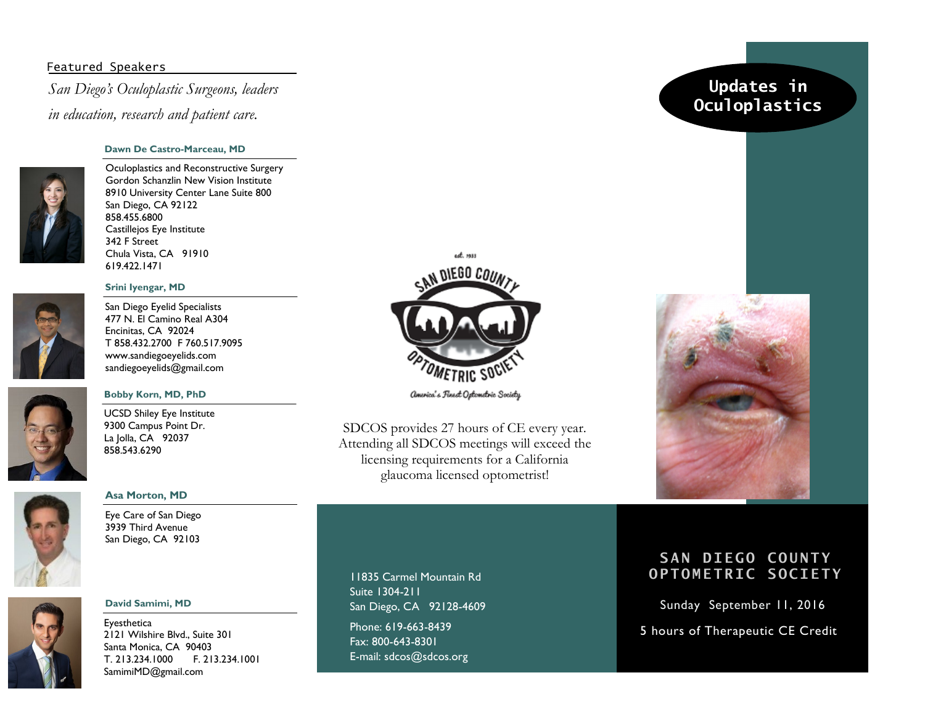## Featured Speakers

*San Diego's Oculoplastic Surgeons, leaders in education, research and patient care.*

### **Dawn De Castro-Marceau, MD**

Oculoplastics and Reconstructive Surgery Gordon Schanzlin New Vision Institute 8910 University Center Lane Suite 800 San Diego, CA 92122 858.455.6800 Castillejos Eye Institute 342 F Street Chula Vista, CA 91910 619.422.1471

### **Srini Iyengar, MD**



San Diego Eyelid Specialists 477 N. El Camino Real A304 Encinitas, CA 92024 T 858.432.2700 F 760.517.9095 www.sandiegoeyelids.com sandiegoeyelids@gmail.com

### **Bobby Korn, MD, PhD**

UCSD Shiley Eye Institute 9300 Campus Point Dr. La Jolla, CA 92037 858.543.6290



## **Asa Morton, MD**

Eye Care of San Diego 3939 Third Avenue San Diego, CA 92103



### **David Samimi, MD**

Eyesthetica 2121 Wilshire Blvd., Suite 301 Santa Monica, CA 90403 T. 213.234.1000 F. 213.234.1001 SamimiMD@gmail.com



SDCOS provides 27 hours of CE every year. Attending all SDCOS meetings will exceed the licensing requirements for a California glaucoma licensed optometrist!

11835 Carmel Mountain Rd Suite 1304-211 San Diego, CA 92128-4609 Phone: 619-663-8439 Fax: 800-643-8301 E-mail: sdcos@sdcos.org

# **Updates in Oculoplastics**



# **SAN DIEGO COUNTY OPTOMETRIC SOCIETY**

Sunday September 11, 2016

5 hours of Therapeutic CE Credit